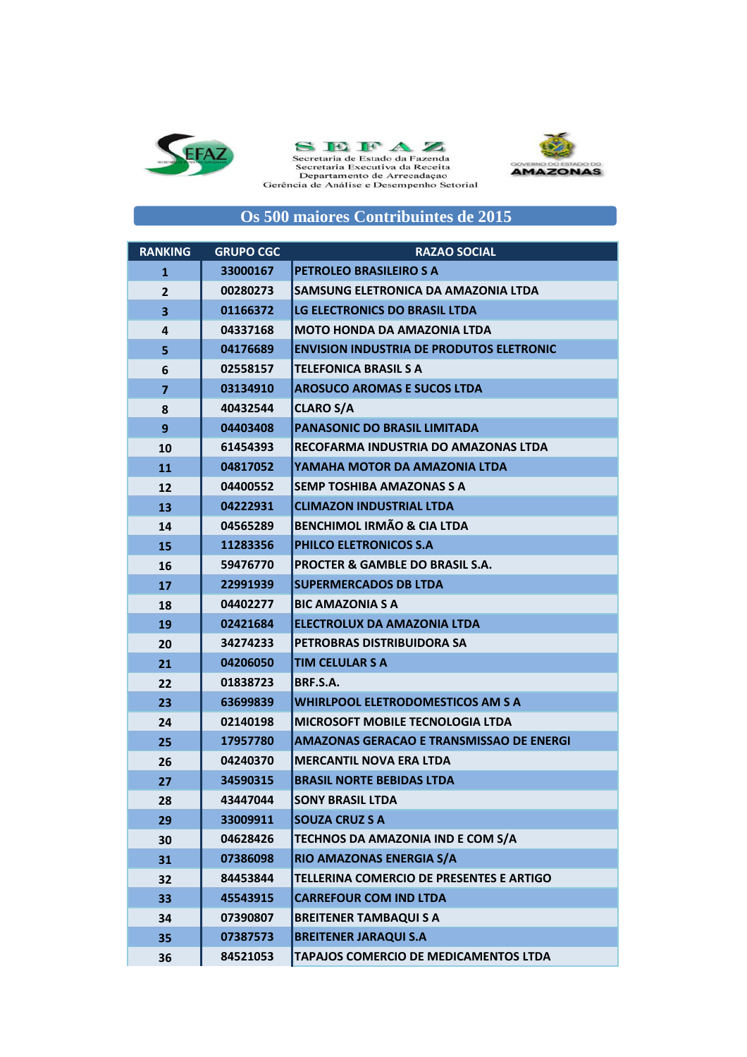



Secretaria de Estado da Fazenda<br>Secretaria Executiva da Receita<br>Departamento de Arrecadação<br>Gerência de Análise e Desempenho Setorial



## **Os 500 maiores Contribuintes de 2015**

| <b>RANKING</b>          | <b>GRUPO CGC</b> | <b>RAZAO SOCIAL</b>                             |
|-------------------------|------------------|-------------------------------------------------|
| $\mathbf{1}$            | 33000167         | PETROLEO BRASILEIRO S A                         |
| $\overline{2}$          | 00280273         | SAMSUNG ELETRONICA DA AMAZONIA LTDA             |
| $\overline{\mathbf{3}}$ | 01166372         | LG ELECTRONICS DO BRASIL LTDA                   |
| 4                       | 04337168         | <b>MOTO HONDA DA AMAZONIA LTDA</b>              |
| 5                       | 04176689         | <b>ENVISION INDUSTRIA DE PRODUTOS ELETRONIC</b> |
| 6                       | 02558157         | <b>TELEFONICA BRASIL S A</b>                    |
| 7                       | 03134910         | <b>AROSUCO AROMAS E SUCOS LTDA</b>              |
| 8                       | 40432544         | <b>CLARO S/A</b>                                |
| 9                       | 04403408         | <b>PANASONIC DO BRASIL LIMITADA</b>             |
| 10                      | 61454393         | RECOFARMA INDUSTRIA DO AMAZONAS LTDA            |
| 11                      | 04817052         | YAMAHA MOTOR DA AMAZONIA LTDA                   |
| 12                      | 04400552         | <b>SEMP TOSHIBA AMAZONAS S A</b>                |
| 13                      | 04222931         | <b>CLIMAZON INDUSTRIAL LTDA</b>                 |
| 14                      | 04565289         | <b>BENCHIMOL IRMÃO &amp; CIA LTDA</b>           |
| 15                      | 11283356         | PHILCO ELETRONICOS S.A                          |
| 16                      | 59476770         | <b>PROCTER &amp; GAMBLE DO BRASIL S.A.</b>      |
| 17                      | 22991939         | <b>SUPERMERCADOS DB LTDA</b>                    |
| 18                      | 04402277         | <b>BIC AMAZONIA S A</b>                         |
| 19                      | 02421684         | ELECTROLUX DA AMAZONIA LTDA                     |
| 20                      | 34274233         | PETROBRAS DISTRIBUIDORA SA                      |
| 21                      | 04206050         | <b>TIM CELULAR S A</b>                          |
| 22                      | 01838723         | BRF.S.A.                                        |
| 23                      | 63699839         | <b>WHIRLPOOL ELETRODOMESTICOS AM S A</b>        |
| 24                      | 02140198         | <b>MICROSOFT MOBILE TECNOLOGIA LTDA</b>         |
| 25                      | 17957780         | <b>AMAZONAS GERACAO E TRANSMISSAO DE ENERGI</b> |
| 26                      | 04240370         | <b>MERCANTIL NOVA ERA LTDA</b>                  |
| 27                      | 34590315         | <b>BRASIL NORTE BEBIDAS LTDA</b>                |
| 28                      | 43447044         | <b>SONY BRASIL LTDA</b>                         |
| 29                      | 33009911         | <b>SOUZA CRUZ S A</b>                           |
| 30                      | 04628426         | TECHNOS DA AMAZONIA IND E COM S/A               |
| 31                      | 07386098         | RIO AMAZONAS ENERGIA S/A                        |
| 32                      | 84453844         | TELLERINA COMERCIO DE PRESENTES E ARTIGO        |
| 33                      | 45543915         | <b>CARREFOUR COM IND LTDA</b>                   |
| 34                      | 07390807         | <b>BREITENER TAMBAQUI S A</b>                   |
| 35                      | 07387573         | <b>BREITENER JARAQUI S.A</b>                    |
| 36                      | 84521053         | TAPAJOS COMERCIO DE MEDICAMENTOS LTDA           |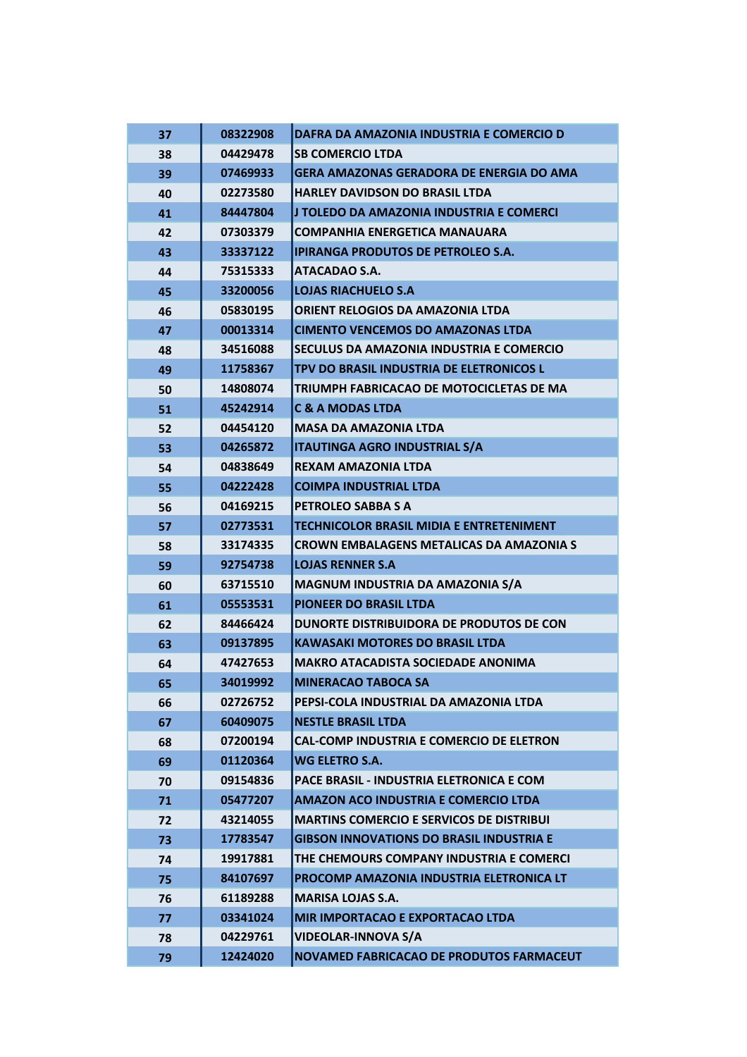| 37 | 08322908 | DAFRA DA AMAZONIA INDUSTRIA E COMERCIO D         |
|----|----------|--------------------------------------------------|
| 38 | 04429478 | <b>SB COMERCIO LTDA</b>                          |
| 39 | 07469933 | <b>GERA AMAZONAS GERADORA DE ENERGIA DO AMA</b>  |
| 40 | 02273580 | <b>HARLEY DAVIDSON DO BRASIL LTDA</b>            |
| 41 | 84447804 | J TOLEDO DA AMAZONIA INDUSTRIA E COMERCI         |
| 42 | 07303379 | <b>COMPANHIA ENERGETICA MANAUARA</b>             |
| 43 | 33337122 | <b>IPIRANGA PRODUTOS DE PETROLEO S.A.</b>        |
| 44 | 75315333 | <b>ATACADAO S.A.</b>                             |
| 45 | 33200056 | <b>LOJAS RIACHUELO S.A</b>                       |
| 46 | 05830195 | <b>ORIENT RELOGIOS DA AMAZONIA LTDA</b>          |
| 47 | 00013314 | <b>CIMENTO VENCEMOS DO AMAZONAS LTDA</b>         |
| 48 | 34516088 | SECULUS DA AMAZONIA INDUSTRIA E COMERCIO         |
| 49 | 11758367 | TPV DO BRASIL INDUSTRIA DE ELETRONICOS L         |
| 50 | 14808074 | TRIUMPH FABRICACAO DE MOTOCICLETAS DE MA         |
| 51 | 45242914 | <b>C &amp; A MODAS LTDA</b>                      |
| 52 | 04454120 | <b>MASA DA AMAZONIA LTDA</b>                     |
| 53 | 04265872 | <b>ITAUTINGA AGRO INDUSTRIAL S/A</b>             |
| 54 | 04838649 | <b>REXAM AMAZONIA LTDA</b>                       |
| 55 | 04222428 | <b>COIMPA INDUSTRIAL LTDA</b>                    |
| 56 | 04169215 | PETROLEO SABBA S A                               |
| 57 | 02773531 | <b>TECHNICOLOR BRASIL MIDIA E ENTRETENIMENT</b>  |
| 58 | 33174335 | <b>CROWN EMBALAGENS METALICAS DA AMAZONIA S</b>  |
| 59 | 92754738 | <b>LOJAS RENNER S.A</b>                          |
| 60 | 63715510 | MAGNUM INDUSTRIA DA AMAZONIA S/A                 |
| 61 | 05553531 | <b>PIONEER DO BRASIL LTDA</b>                    |
| 62 | 84466424 | DUNORTE DISTRIBUIDORA DE PRODUTOS DE CON         |
| 63 | 09137895 | <b>KAWASAKI MOTORES DO BRASIL LTDA</b>           |
| 64 | 47427653 | <b>MAKRO ATACADISTA SOCIEDADE ANONIMA</b>        |
| 65 | 34019992 | <b>MINERACAO TABOCA SA</b>                       |
| 66 | 02726752 | PEPSI-COLA INDUSTRIAL DA AMAZONIA LTDA           |
| 67 | 60409075 | <b>NESTLE BRASIL LTDA</b>                        |
| 68 | 07200194 | <b>CAL-COMP INDUSTRIA E COMERCIO DE ELETRON</b>  |
| 69 | 01120364 | WG ELETRO S.A.                                   |
| 70 | 09154836 | <b>PACE BRASIL - INDUSTRIA ELETRONICA E COM.</b> |
| 71 | 05477207 | <b>AMAZON ACO INDUSTRIA E COMERCIO LTDA</b>      |
| 72 | 43214055 | <b>MARTINS COMERCIO E SERVICOS DE DISTRIBUI</b>  |
| 73 | 17783547 | <b>GIBSON INNOVATIONS DO BRASIL INDUSTRIA E</b>  |
| 74 | 19917881 | THE CHEMOURS COMPANY INDUSTRIA E COMERCI         |
| 75 | 84107697 | PROCOMP AMAZONIA INDUSTRIA ELETRONICA LT         |
| 76 | 61189288 | <b>MARISA LOJAS S.A.</b>                         |
| 77 | 03341024 | <b>MIR IMPORTACAO E EXPORTACAO LTDA</b>          |
| 78 | 04229761 | <b>VIDEOLAR-INNOVA S/A</b>                       |
| 79 | 12424020 | NOVAMED FABRICACAO DE PRODUTOS FARMACEUT         |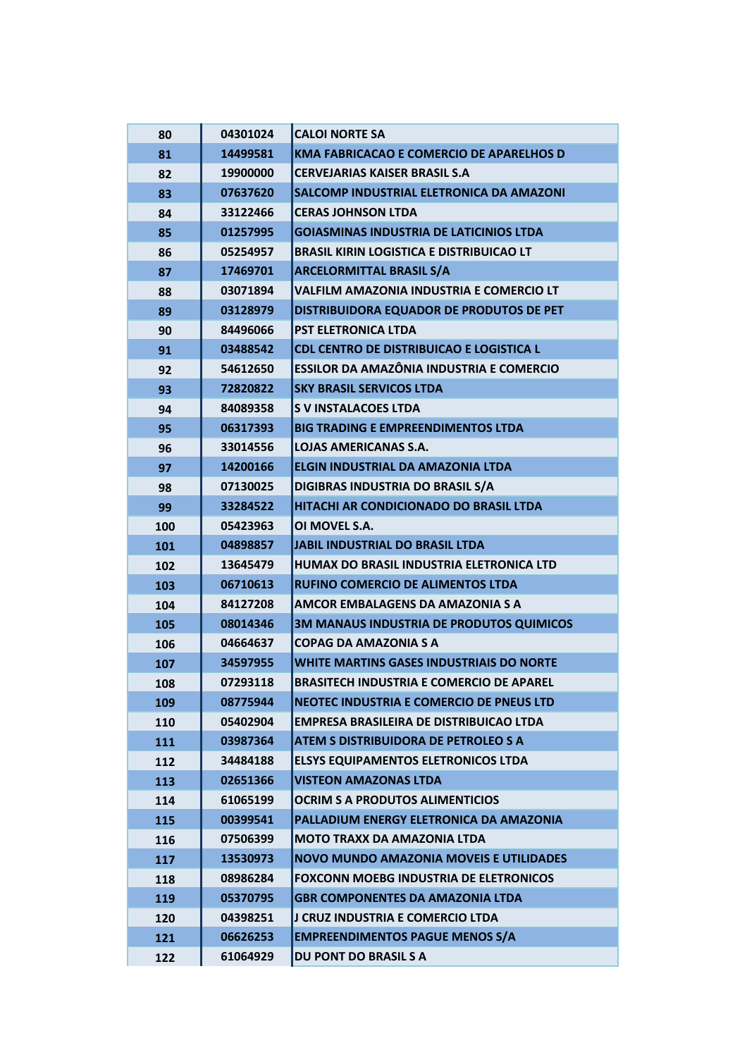| 80  | 04301024 | <b>CALOI NORTE SA</b>                           |
|-----|----------|-------------------------------------------------|
| 81  | 14499581 | <b>KMA FABRICACAO E COMERCIO DE APARELHOS D</b> |
| 82  | 19900000 | <b>CERVEJARIAS KAISER BRASIL S.A.</b>           |
| 83  | 07637620 | SALCOMP INDUSTRIAL ELETRONICA DA AMAZONI        |
| 84  | 33122466 | <b>CERAS JOHNSON LTDA</b>                       |
| 85  | 01257995 | <b>GOIASMINAS INDUSTRIA DE LATICINIOS LTDA</b>  |
| 86  | 05254957 | <b>BRASIL KIRIN LOGISTICA E DISTRIBUICAO LT</b> |
| 87  | 17469701 | <b>ARCELORMITTAL BRASIL S/A</b>                 |
| 88  | 03071894 | VALFILM AMAZONIA INDUSTRIA E COMERCIO LT        |
| 89  | 03128979 | DISTRIBUIDORA EQUADOR DE PRODUTOS DE PET        |
| 90  | 84496066 | <b>PST ELETRONICA LTDA</b>                      |
| 91  | 03488542 | CDL CENTRO DE DISTRIBUICAO E LOGISTICA L        |
| 92  | 54612650 | <b>ESSILOR DA AMAZÔNIA INDUSTRIA E COMERCIO</b> |
| 93  | 72820822 | <b>SKY BRASIL SERVICOS LTDA</b>                 |
| 94  | 84089358 | <b>S V INSTALACOES LTDA</b>                     |
| 95  | 06317393 | <b>BIG TRADING E EMPREENDIMENTOS LTDA</b>       |
| 96  | 33014556 | <b>LOJAS AMERICANAS S.A.</b>                    |
| 97  | 14200166 | <b>ELGIN INDUSTRIAL DA AMAZONIA LTDA</b>        |
| 98  | 07130025 | DIGIBRAS INDUSTRIA DO BRASIL S/A                |
| 99  | 33284522 | HITACHI AR CONDICIONADO DO BRASIL LTDA          |
| 100 | 05423963 | OI MOVEL S.A.                                   |
| 101 | 04898857 | <b>JABIL INDUSTRIAL DO BRASIL LTDA</b>          |
| 102 | 13645479 | HUMAX DO BRASIL INDUSTRIA ELETRONICA LTD        |
| 103 | 06710613 | <b>RUFINO COMERCIO DE ALIMENTOS LTDA</b>        |
| 104 | 84127208 | <b>AMCOR EMBALAGENS DA AMAZONIA S A</b>         |
| 105 | 08014346 | 3M MANAUS INDUSTRIA DE PRODUTOS QUIMICOS        |
| 106 | 04664637 | <b>COPAG DA AMAZONIA S A</b>                    |
| 107 | 34597955 | <b>WHITE MARTINS GASES INDUSTRIAIS DO NORTE</b> |
| 108 | 07293118 | <b>BRASITECH INDUSTRIA E COMERCIO DE APAREL</b> |
| 109 | 08775944 | NEOTEC INDUSTRIA E COMERCIO DE PNEUS LTD        |
| 110 | 05402904 | <b>EMPRESA BRASILEIRA DE DISTRIBUICAO LTDA</b>  |
| 111 | 03987364 | ATEM S DISTRIBUIDORA DE PETROLEO S A            |
| 112 | 34484188 | <b>ELSYS EQUIPAMENTOS ELETRONICOS LTDA</b>      |
| 113 | 02651366 | <b>VISTEON AMAZONAS LTDA</b>                    |
| 114 | 61065199 | <b>OCRIM S A PRODUTOS ALIMENTICIOS</b>          |
| 115 | 00399541 | PALLADIUM ENERGY ELETRONICA DA AMAZONIA         |
| 116 | 07506399 | <b>MOTO TRAXX DA AMAZONIA LTDA</b>              |
| 117 | 13530973 | <b>NOVO MUNDO AMAZONIA MOVEIS E UTILIDADES</b>  |
| 118 | 08986284 | <b>FOXCONN MOEBG INDUSTRIA DE ELETRONICOS</b>   |
| 119 | 05370795 | <b>GBR COMPONENTES DA AMAZONIA LTDA</b>         |
| 120 | 04398251 | J CRUZ INDUSTRIA E COMERCIO LTDA                |
| 121 | 06626253 | <b>EMPREENDIMENTOS PAGUE MENOS S/A</b>          |
| 122 | 61064929 | DU PONT DO BRASIL S A                           |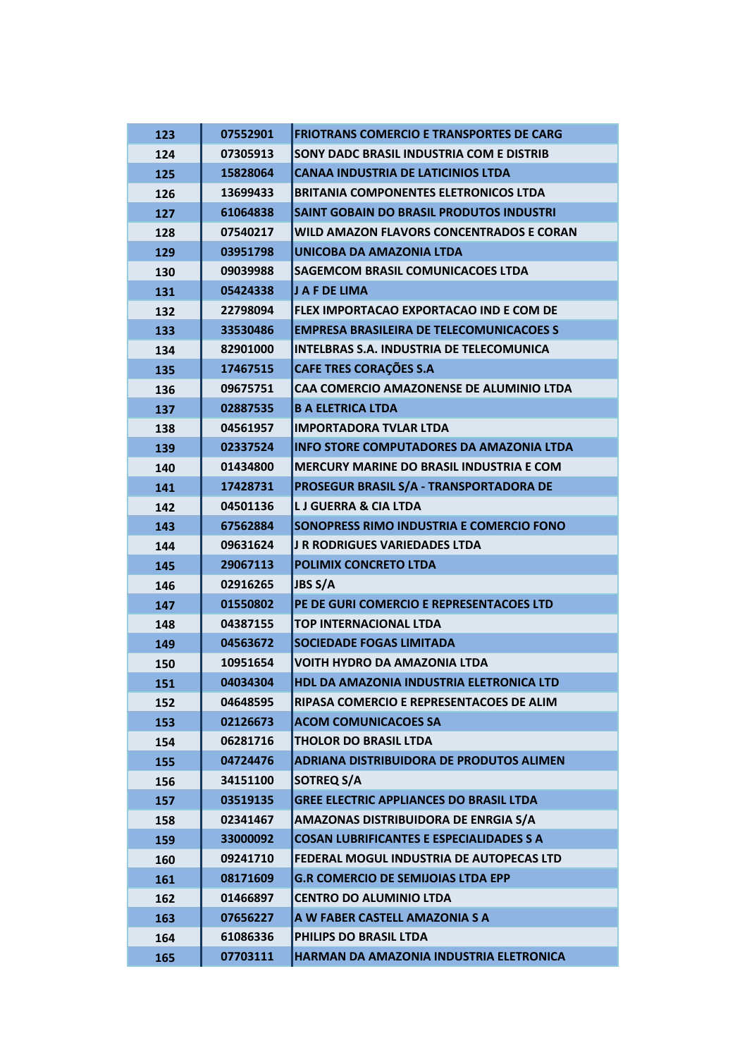| 123 | 07552901 | <b>FRIOTRANS COMERCIO E TRANSPORTES DE CARG</b> |
|-----|----------|-------------------------------------------------|
| 124 | 07305913 | SONY DADC BRASIL INDUSTRIA COM E DISTRIB        |
| 125 | 15828064 | <b>CANAA INDUSTRIA DE LATICINIOS LTDA</b>       |
| 126 | 13699433 | <b>BRITANIA COMPONENTES ELETRONICOS LTDA</b>    |
| 127 | 61064838 | <b>SAINT GOBAIN DO BRASIL PRODUTOS INDUSTRI</b> |
| 128 | 07540217 | WILD AMAZON FLAVORS CONCENTRADOS E CORAN        |
| 129 | 03951798 | UNICOBA DA AMAZONIA LTDA                        |
| 130 | 09039988 | <b>SAGEMCOM BRASIL COMUNICACOES LTDA</b>        |
| 131 | 05424338 | J A F DE LIMA                                   |
| 132 | 22798094 | FLEX IMPORTACAO EXPORTACAO IND E COM DE         |
| 133 | 33530486 | <b>EMPRESA BRASILEIRA DE TELECOMUNICACOES S</b> |
| 134 | 82901000 | <b>INTELBRAS S.A. INDUSTRIA DE TELECOMUNICA</b> |
| 135 | 17467515 | <b>CAFE TRES CORAÇÕES S.A</b>                   |
| 136 | 09675751 | CAA COMERCIO AMAZONENSE DE ALUMINIO LTDA        |
| 137 | 02887535 | <b>B A ELETRICA LTDA</b>                        |
| 138 | 04561957 | <b>IMPORTADORA TVLAR LTDA</b>                   |
| 139 | 02337524 | <b>INFO STORE COMPUTADORES DA AMAZONIA LTDA</b> |
| 140 | 01434800 | <b>MERCURY MARINE DO BRASIL INDUSTRIA E COM</b> |
| 141 | 17428731 | PROSEGUR BRASIL S/A - TRANSPORTADORA DE         |
| 142 | 04501136 | <b>LJ GUERRA &amp; CIA LTDA</b>                 |
| 143 | 67562884 | SONOPRESS RIMO INDUSTRIA E COMERCIO FONO        |
| 144 | 09631624 | <b>J R RODRIGUES VARIEDADES LTDA</b>            |
| 145 | 29067113 | <b>POLIMIX CONCRETO LTDA</b>                    |
| 146 | 02916265 | <b>JBS S/A</b>                                  |
| 147 | 01550802 | PE DE GURI COMERCIO E REPRESENTACOES LTD        |
| 148 | 04387155 | <b>TOP INTERNACIONAL LTDA</b>                   |
| 149 | 04563672 | <b>SOCIEDADE FOGAS LIMITADA</b>                 |
| 150 | 10951654 | <b>VOITH HYDRO DA AMAZONIA LTDA</b>             |
| 151 | 04034304 | HDL DA AMAZONIA INDUSTRIA ELETRONICA LTD        |
| 152 | 04648595 | RIPASA COMERCIO E REPRESENTACOES DE ALIM        |
| 153 | 02126673 | <b>ACOM COMUNICACOES SA</b>                     |
| 154 | 06281716 | <b>THOLOR DO BRASIL LTDA</b>                    |
| 155 | 04724476 | ADRIANA DISTRIBUIDORA DE PRODUTOS ALIMEN        |
| 156 | 34151100 | <b>SOTREQ S/A</b>                               |
| 157 | 03519135 | <b>GREE ELECTRIC APPLIANCES DO BRASIL LTDA</b>  |
| 158 | 02341467 | AMAZONAS DISTRIBUIDORA DE ENRGIA S/A            |
| 159 | 33000092 | <b>COSAN LUBRIFICANTES E ESPECIALIDADES S A</b> |
| 160 | 09241710 | FEDERAL MOGUL INDUSTRIA DE AUTOPECAS LTD        |
| 161 | 08171609 | <b>G.R COMERCIO DE SEMIJOIAS LTDA EPP</b>       |
| 162 | 01466897 | <b>CENTRO DO ALUMINIO LTDA</b>                  |
| 163 | 07656227 | A W FABER CASTELL AMAZONIA S A                  |
| 164 | 61086336 | PHILIPS DO BRASIL LTDA                          |
| 165 | 07703111 | HARMAN DA AMAZONIA INDUSTRIA ELETRONICA         |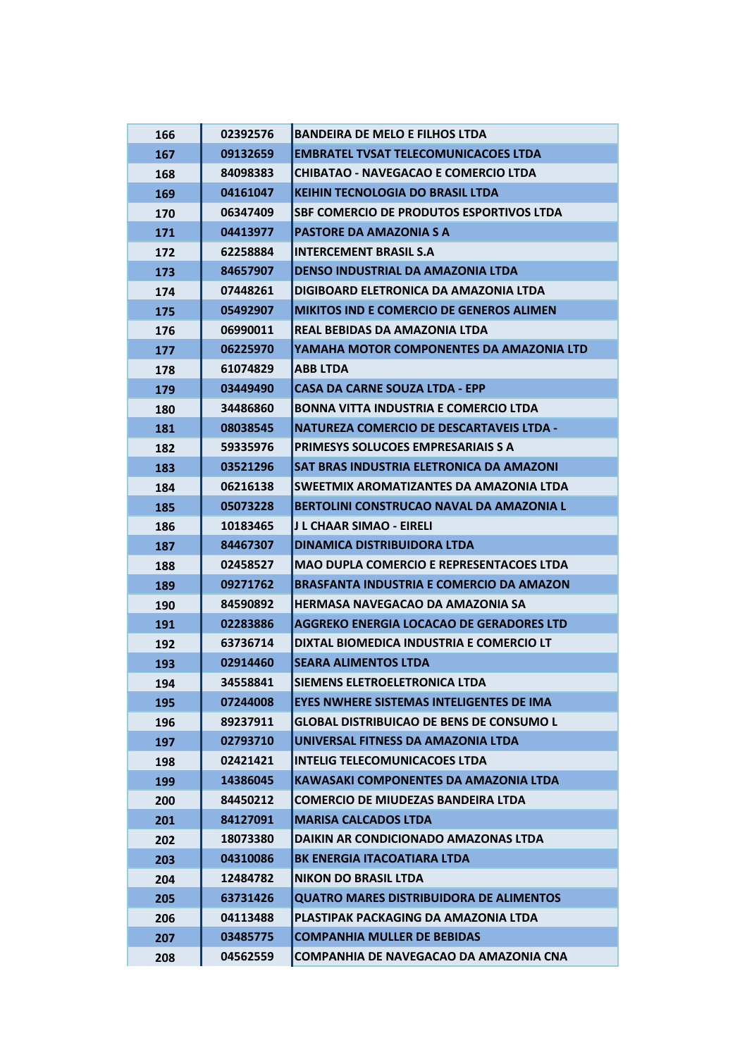| 166 | 02392576 | <b>BANDEIRA DE MELO E FILHOS LTDA</b>           |
|-----|----------|-------------------------------------------------|
| 167 | 09132659 | <b>EMBRATEL TVSAT TELECOMUNICACOES LTDA</b>     |
| 168 | 84098383 | <b>CHIBATAO - NAVEGACAO E COMERCIO LTDA</b>     |
| 169 | 04161047 | <b>KEIHIN TECNOLOGIA DO BRASIL LTDA</b>         |
| 170 | 06347409 | <b>SBF COMERCIO DE PRODUTOS ESPORTIVOS LTDA</b> |
| 171 | 04413977 | <b>PASTORE DA AMAZONIA S A</b>                  |
| 172 | 62258884 | <b>INTERCEMENT BRASIL S.A</b>                   |
| 173 | 84657907 | <b>DENSO INDUSTRIAL DA AMAZONIA LTDA</b>        |
| 174 | 07448261 | DIGIBOARD ELETRONICA DA AMAZONIA LTDA           |
| 175 | 05492907 | <b>MIKITOS IND E COMERCIO DE GENEROS ALIMEN</b> |
| 176 | 06990011 | REAL BEBIDAS DA AMAZONIA LTDA                   |
| 177 | 06225970 | YAMAHA MOTOR COMPONENTES DA AMAZONIA LTD        |
| 178 | 61074829 | <b>ABB LTDA</b>                                 |
| 179 | 03449490 | <b>CASA DA CARNE SOUZA LTDA - EPP</b>           |
| 180 | 34486860 | <b>BONNA VITTA INDUSTRIA E COMERCIO LTDA</b>    |
| 181 | 08038545 | <b>NATUREZA COMERCIO DE DESCARTAVEIS LTDA -</b> |
| 182 | 59335976 | PRIMESYS SOLUCOES EMPRESARIAIS S A              |
| 183 | 03521296 | SAT BRAS INDUSTRIA ELETRONICA DA AMAZONI        |
| 184 | 06216138 | SWEETMIX AROMATIZANTES DA AMAZONIA LTDA         |
| 185 | 05073228 | BERTOLINI CONSTRUCAO NAVAL DA AMAZONIA L        |
| 186 | 10183465 | J L CHAAR SIMAO - EIRELI                        |
| 187 | 84467307 | <b>DINAMICA DISTRIBUIDORA LTDA</b>              |
| 188 | 02458527 | <b>MAO DUPLA COMERCIO E REPRESENTACOES LTDA</b> |
| 189 | 09271762 | <b>BRASFANTA INDUSTRIA E COMERCIO DA AMAZON</b> |
| 190 | 84590892 | HERMASA NAVEGACAO DA AMAZONIA SA                |
| 191 | 02283886 | AGGREKO ENERGIA LOCACAO DE GERADORES LTD        |
| 192 | 63736714 | DIXTAL BIOMEDICA INDUSTRIA E COMERCIO LT        |
| 193 | 02914460 | <b>SEARA ALIMENTOS LTDA</b>                     |
| 194 | 34558841 | SIEMENS ELETROELETRONICA LTDA                   |
| 195 | 07244008 | <b>EYES NWHERE SISTEMAS INTELIGENTES DE IMA</b> |
| 196 | 89237911 | <b>GLOBAL DISTRIBUICAO DE BENS DE CONSUMO L</b> |
| 197 | 02793710 | UNIVERSAL FITNESS DA AMAZONIA LTDA              |
| 198 | 02421421 | <b>INTELIG TELECOMUNICACOES LTDA</b>            |
| 199 | 14386045 | <b>KAWASAKI COMPONENTES DA AMAZONIA LTDA</b>    |
| 200 | 84450212 | <b>COMERCIO DE MIUDEZAS BANDEIRA LTDA</b>       |
| 201 | 84127091 | <b>MARISA CALCADOS LTDA</b>                     |
| 202 | 18073380 | DAIKIN AR CONDICIONADO AMAZONAS LTDA            |
| 203 | 04310086 | <b>BK ENERGIA ITACOATIARA LTDA</b>              |
| 204 | 12484782 | <b>NIKON DO BRASIL LTDA</b>                     |
| 205 | 63731426 | <b>QUATRO MARES DISTRIBUIDORA DE ALIMENTOS</b>  |
| 206 | 04113488 | PLASTIPAK PACKAGING DA AMAZONIA LTDA            |
| 207 | 03485775 | <b>COMPANHIA MULLER DE BEBIDAS</b>              |
| 208 | 04562559 | COMPANHIA DE NAVEGACAO DA AMAZONIA CNA          |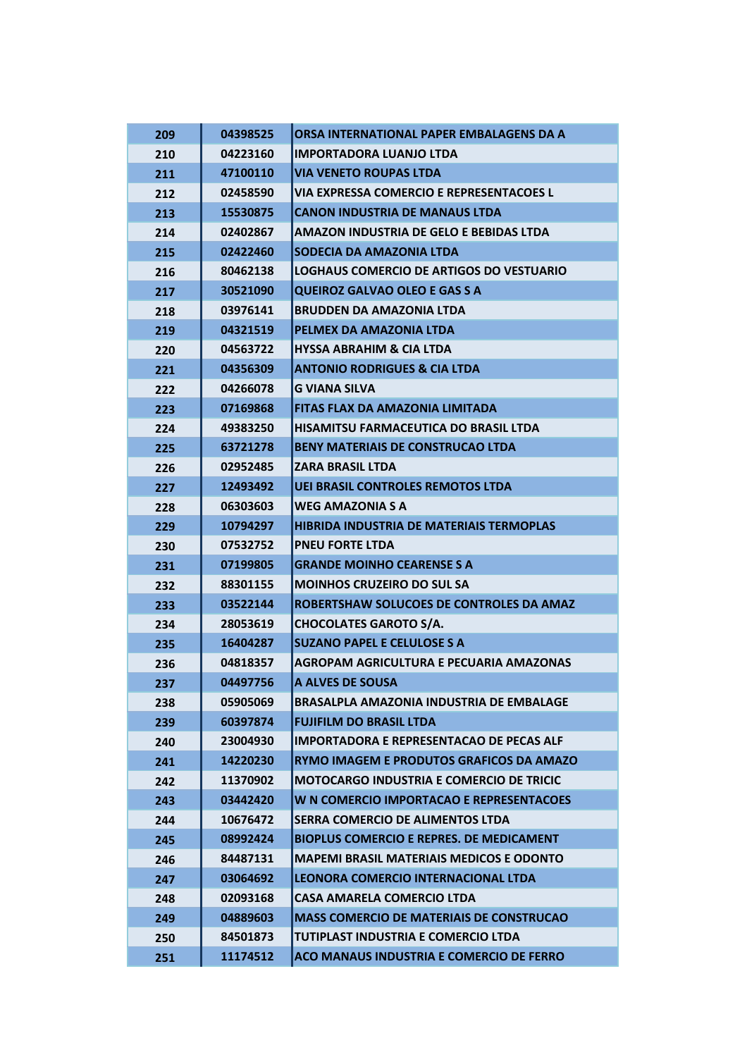| 209 | 04398525 | ORSA INTERNATIONAL PAPER EMBALAGENS DA A        |
|-----|----------|-------------------------------------------------|
| 210 | 04223160 | <b>IMPORTADORA LUANJO LTDA</b>                  |
| 211 | 47100110 | <b>VIA VENETO ROUPAS LTDA</b>                   |
| 212 | 02458590 | <b>VIA EXPRESSA COMERCIO E REPRESENTACOES L</b> |
| 213 | 15530875 | <b>CANON INDUSTRIA DE MANAUS LTDA</b>           |
| 214 | 02402867 | <b>AMAZON INDUSTRIA DE GELO E BEBIDAS LTDA</b>  |
| 215 | 02422460 | SODECIA DA AMAZONIA LTDA                        |
| 216 | 80462138 | LOGHAUS COMERCIO DE ARTIGOS DO VESTUARIO        |
| 217 | 30521090 | <b>QUEIROZ GALVAO OLEO E GAS S A</b>            |
| 218 | 03976141 | <b>BRUDDEN DA AMAZONIA LTDA</b>                 |
| 219 | 04321519 | PELMEX DA AMAZONIA LTDA                         |
| 220 | 04563722 | <b>HYSSA ABRAHIM &amp; CIA LTDA</b>             |
| 221 | 04356309 | <b>ANTONIO RODRIGUES &amp; CIA LTDA</b>         |
| 222 | 04266078 | <b>G VIANA SILVA</b>                            |
| 223 | 07169868 | FITAS FLAX DA AMAZONIA LIMITADA                 |
| 224 | 49383250 | <b>HISAMITSU FARMACEUTICA DO BRASIL LTDA</b>    |
| 225 | 63721278 | <b>BENY MATERIAIS DE CONSTRUCAO LTDA</b>        |
| 226 | 02952485 | <b>ZARA BRASIL LTDA</b>                         |
| 227 | 12493492 | <b>UEI BRASIL CONTROLES REMOTOS LTDA</b>        |
| 228 | 06303603 | <b>WEG AMAZONIA S A</b>                         |
| 229 | 10794297 | HIBRIDA INDUSTRIA DE MATERIAIS TERMOPLAS        |
| 230 | 07532752 | <b>PNEU FORTE LTDA</b>                          |
| 231 | 07199805 | <b>GRANDE MOINHO CEARENSE S A</b>               |
| 232 | 88301155 | <b>MOINHOS CRUZEIRO DO SUL SA</b>               |
| 233 | 03522144 | ROBERTSHAW SOLUCOES DE CONTROLES DA AMAZ        |
| 234 | 28053619 | <b>CHOCOLATES GAROTO S/A.</b>                   |
| 235 | 16404287 | <b>SUZANO PAPEL E CELULOSE S A</b>              |
| 236 | 04818357 | AGROPAM AGRICULTURA E PECUARIA AMAZONAS         |
| 237 | 04497756 | A ALVES DE SOUSA                                |
| 238 | 05905069 | <b>BRASALPLA AMAZONIA INDUSTRIA DE EMBALAGE</b> |
| 239 | 60397874 | <b>FUJIFILM DO BRASIL LTDA</b>                  |
| 240 | 23004930 | <b>IMPORTADORA E REPRESENTACAO DE PECAS ALF</b> |
| 241 | 14220230 | RYMO IMAGEM E PRODUTOS GRAFICOS DA AMAZO        |
| 242 | 11370902 | <b>MOTOCARGO INDUSTRIA E COMERCIO DE TRICIC</b> |
| 243 | 03442420 | W N COMERCIO IMPORTACAO E REPRESENTACOES        |
| 244 | 10676472 | SERRA COMERCIO DE ALIMENTOS LTDA                |
| 245 | 08992424 | <b>BIOPLUS COMERCIO E REPRES. DE MEDICAMENT</b> |
| 246 | 84487131 | <b>MAPEMI BRASIL MATERIAIS MEDICOS E ODONTO</b> |
| 247 | 03064692 | LEONORA COMERCIO INTERNACIONAL LTDA             |
| 248 | 02093168 | <b>CASA AMARELA COMERCIO LTDA</b>               |
| 249 | 04889603 | <b>MASS COMERCIO DE MATERIAIS DE CONSTRUCAO</b> |
| 250 | 84501873 | TUTIPLAST INDUSTRIA E COMERCIO LTDA             |
| 251 | 11174512 | ACO MANAUS INDUSTRIA E COMERCIO DE FERRO        |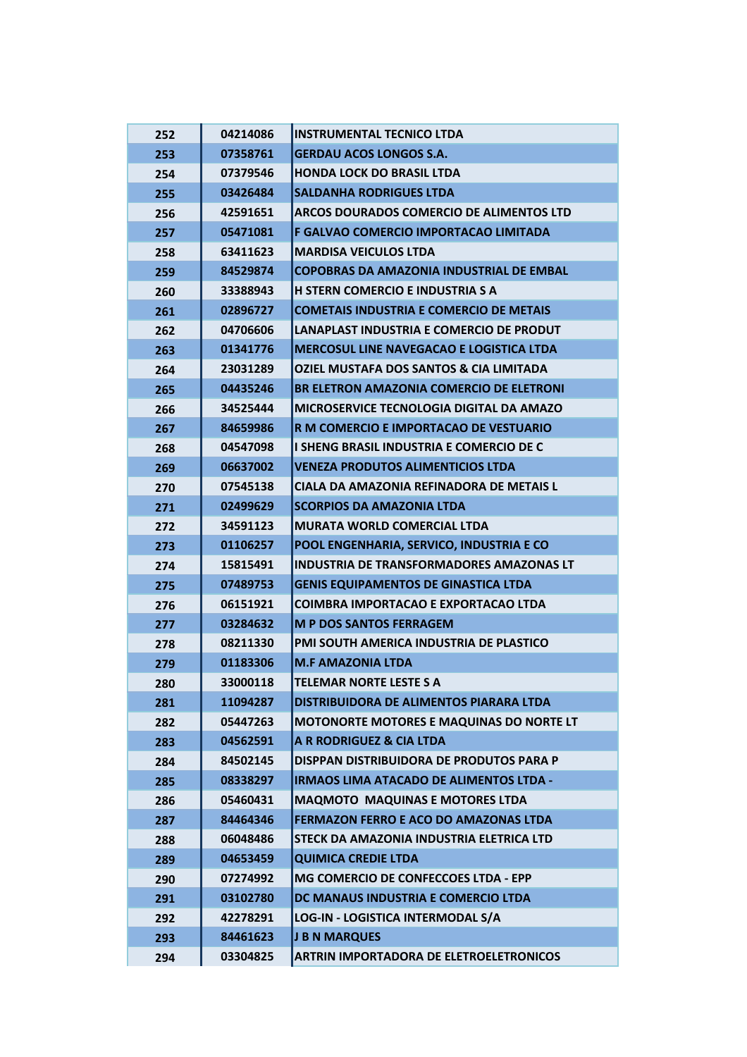| 252 | 04214086 | <b>INSTRUMENTAL TECNICO LTDA</b>                   |
|-----|----------|----------------------------------------------------|
| 253 | 07358761 | <b>GERDAU ACOS LONGOS S.A.</b>                     |
| 254 | 07379546 | <b>HONDA LOCK DO BRASIL LTDA</b>                   |
| 255 | 03426484 | <b>SALDANHA RODRIGUES LTDA</b>                     |
| 256 | 42591651 | ARCOS DOURADOS COMERCIO DE ALIMENTOS LTD           |
| 257 | 05471081 | F GALVAO COMERCIO IMPORTACAO LIMITADA              |
| 258 | 63411623 | <b>MARDISA VEICULOS LTDA</b>                       |
| 259 | 84529874 | <b>COPOBRAS DA AMAZONIA INDUSTRIAL DE EMBAL</b>    |
| 260 | 33388943 | <b>H STERN COMERCIO E INDUSTRIA S A</b>            |
| 261 | 02896727 | <b>COMETAIS INDUSTRIA E COMERCIO DE METAIS</b>     |
| 262 | 04706606 | LANAPLAST INDUSTRIA E COMERCIO DE PRODUT           |
| 263 | 01341776 | <b>MERCOSUL LINE NAVEGACAO E LOGISTICA LTDA</b>    |
| 264 | 23031289 | <b>OZIEL MUSTAFA DOS SANTOS &amp; CIA LIMITADA</b> |
| 265 | 04435246 | BR ELETRON AMAZONIA COMERCIO DE ELETRONI           |
| 266 | 34525444 | MICROSERVICE TECNOLOGIA DIGITAL DA AMAZO           |
| 267 | 84659986 | R M COMERCIO E IMPORTACAO DE VESTUARIO             |
| 268 | 04547098 | I SHENG BRASIL INDUSTRIA E COMERCIO DE C           |
| 269 | 06637002 | <b>VENEZA PRODUTOS ALIMENTICIOS LTDA</b>           |
| 270 | 07545138 | CIALA DA AMAZONIA REFINADORA DE METAIS L           |
| 271 | 02499629 | <b>SCORPIOS DA AMAZONIA LTDA</b>                   |
| 272 | 34591123 | <b>MURATA WORLD COMERCIAL LTDA</b>                 |
| 273 | 01106257 | POOL ENGENHARIA, SERVICO, INDUSTRIA E CO           |
| 274 | 15815491 | INDUSTRIA DE TRANSFORMADORES AMAZONAS LT           |
| 275 | 07489753 | <b>GENIS EQUIPAMENTOS DE GINASTICA LTDA</b>        |
| 276 | 06151921 | <b>COIMBRA IMPORTACAO E EXPORTACAO LTDA</b>        |
| 277 | 03284632 | <b>M P DOS SANTOS FERRAGEM</b>                     |
| 278 | 08211330 | PMI SOUTH AMERICA INDUSTRIA DE PLASTICO            |
| 279 | 01183306 | <b>M.F AMAZONIA LTDA</b>                           |
| 280 | 33000118 | <b>TELEMAR NORTE LESTE S A</b>                     |
| 281 | 11094287 | DISTRIBUIDORA DE ALIMENTOS PIARARA LTDA            |
| 282 | 05447263 | <b>MOTONORTE MOTORES E MAQUINAS DO NORTE LT</b>    |
| 283 | 04562591 | A R RODRIGUEZ & CIA LTDA                           |
| 284 | 84502145 | DISPPAN DISTRIBUIDORA DE PRODUTOS PARA P           |
| 285 | 08338297 | <b>IRMAOS LIMA ATACADO DE ALIMENTOS LTDA -</b>     |
| 286 | 05460431 | <b>MAQMOTO MAQUINAS E MOTORES LTDA</b>             |
| 287 | 84464346 | FERMAZON FERRO E ACO DO AMAZONAS LTDA              |
| 288 | 06048486 | STECK DA AMAZONIA INDUSTRIA ELETRICA LTD           |
| 289 | 04653459 | <b>QUIMICA CREDIE LTDA</b>                         |
| 290 | 07274992 | MG COMERCIO DE CONFECCOES LTDA - EPP               |
| 291 | 03102780 | DC MANAUS INDUSTRIA E COMERCIO LTDA                |
| 292 | 42278291 | LOG-IN - LOGISTICA INTERMODAL S/A                  |
| 293 | 84461623 | <b>J B N MARQUES</b>                               |
| 294 | 03304825 | ARTRIN IMPORTADORA DE ELETROELETRONICOS            |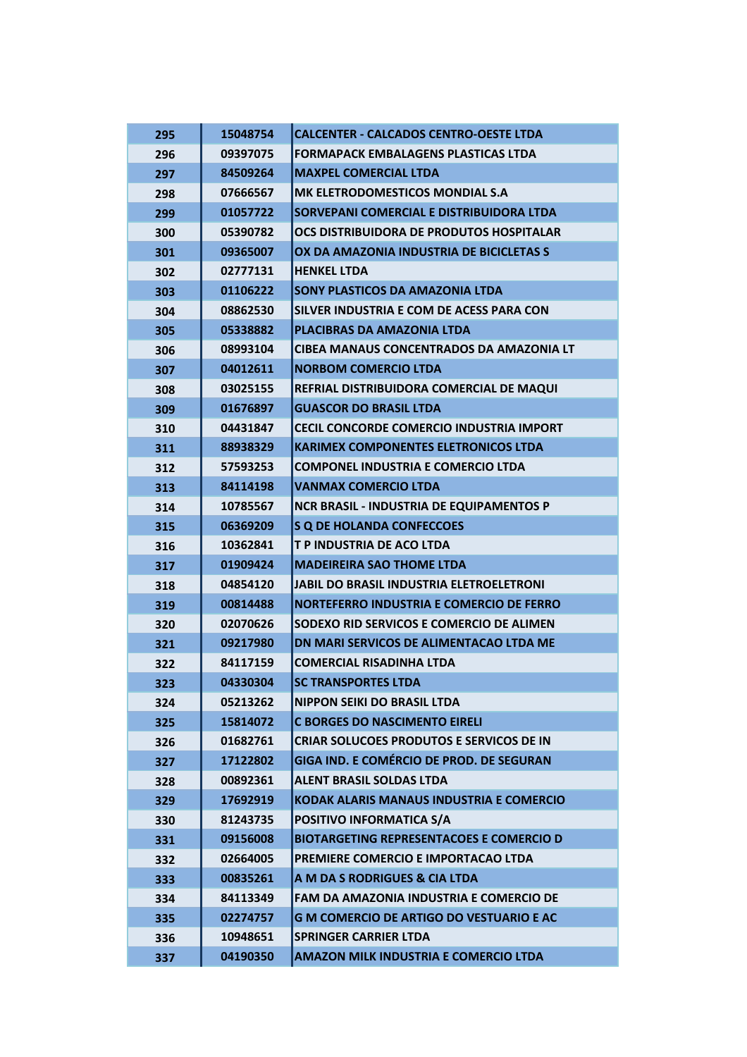| 295 | 15048754 | <b>CALCENTER - CALCADOS CENTRO-OESTE LTDA</b>   |
|-----|----------|-------------------------------------------------|
| 296 | 09397075 | <b>FORMAPACK EMBALAGENS PLASTICAS LTDA</b>      |
| 297 | 84509264 | <b>MAXPEL COMERCIAL LTDA</b>                    |
| 298 | 07666567 | MK ELETRODOMESTICOS MONDIAL S.A                 |
| 299 | 01057722 | SORVEPANI COMERCIAL E DISTRIBUIDORA LTDA        |
| 300 | 05390782 | OCS DISTRIBUIDORA DE PRODUTOS HOSPITALAR        |
| 301 | 09365007 | OX DA AMAZONIA INDUSTRIA DE BICICLETAS S        |
| 302 | 02777131 | <b>HENKEL LTDA</b>                              |
| 303 | 01106222 | SONY PLASTICOS DA AMAZONIA LTDA                 |
| 304 | 08862530 | SILVER INDUSTRIA E COM DE ACESS PARA CON        |
| 305 | 05338882 | PLACIBRAS DA AMAZONIA LTDA                      |
| 306 | 08993104 | <b>CIBEA MANAUS CONCENTRADOS DA AMAZONIA LT</b> |
| 307 | 04012611 | <b>NORBOM COMERCIO LTDA</b>                     |
| 308 | 03025155 | REFRIAL DISTRIBUIDORA COMERCIAL DE MAQUI        |
| 309 | 01676897 | <b>GUASCOR DO BRASIL LTDA</b>                   |
| 310 | 04431847 | <b>CECIL CONCORDE COMERCIO INDUSTRIA IMPORT</b> |
| 311 | 88938329 | KARIMEX COMPONENTES ELETRONICOS LTDA            |
| 312 | 57593253 | <b>COMPONEL INDUSTRIA E COMERCIO LTDA</b>       |
| 313 | 84114198 | <b>VANMAX COMERCIO LTDA</b>                     |
| 314 | 10785567 | <b>NCR BRASIL - INDUSTRIA DE EQUIPAMENTOS P</b> |
| 315 | 06369209 | <b>S Q DE HOLANDA CONFECCOES</b>                |
| 316 | 10362841 | T P INDUSTRIA DE ACO LTDA                       |
| 317 | 01909424 | <b>MADEIREIRA SAO THOME LTDA</b>                |
| 318 | 04854120 | <b>JABIL DO BRASIL INDUSTRIA ELETROELETRONI</b> |
| 319 | 00814488 | NORTEFERRO INDUSTRIA E COMERCIO DE FERRO        |
| 320 | 02070626 | SODEXO RID SERVICOS E COMERCIO DE ALIMEN        |
| 321 | 09217980 | <b>DN MARI SERVICOS DE ALIMENTACAO LTDA ME</b>  |
| 322 | 84117159 | <b>COMERCIAL RISADINHA LTDA</b>                 |
| 323 | 04330304 | <b>SC TRANSPORTES LTDA</b>                      |
| 324 | 05213262 | <b>NIPPON SEIKI DO BRASIL LTDA</b>              |
| 325 | 15814072 | <b>C BORGES DO NASCIMENTO EIRELI</b>            |
| 326 | 01682761 | <b>CRIAR SOLUCOES PRODUTOS E SERVICOS DE IN</b> |
| 327 | 17122802 | GIGA IND. E COMÉRCIO DE PROD. DE SEGURAN        |
| 328 | 00892361 | <b>ALENT BRASIL SOLDAS LTDA</b>                 |
| 329 | 17692919 | <b>KODAK ALARIS MANAUS INDUSTRIA E COMERCIO</b> |
| 330 | 81243735 | POSITIVO INFORMATICA S/A                        |
| 331 | 09156008 | <b>BIOTARGETING REPRESENTACOES E COMERCIO D</b> |
| 332 | 02664005 | PREMIERE COMERCIO E IMPORTACAO LTDA             |
| 333 | 00835261 | A M DA S RODRIGUES & CIA LTDA                   |
| 334 | 84113349 | FAM DA AMAZONIA INDUSTRIA E COMERCIO DE         |
| 335 | 02274757 | <b>G M COMERCIO DE ARTIGO DO VESTUARIO E AC</b> |
| 336 | 10948651 | <b>SPRINGER CARRIER LTDA</b>                    |
| 337 | 04190350 | <b>AMAZON MILK INDUSTRIA E COMERCIO LTDA</b>    |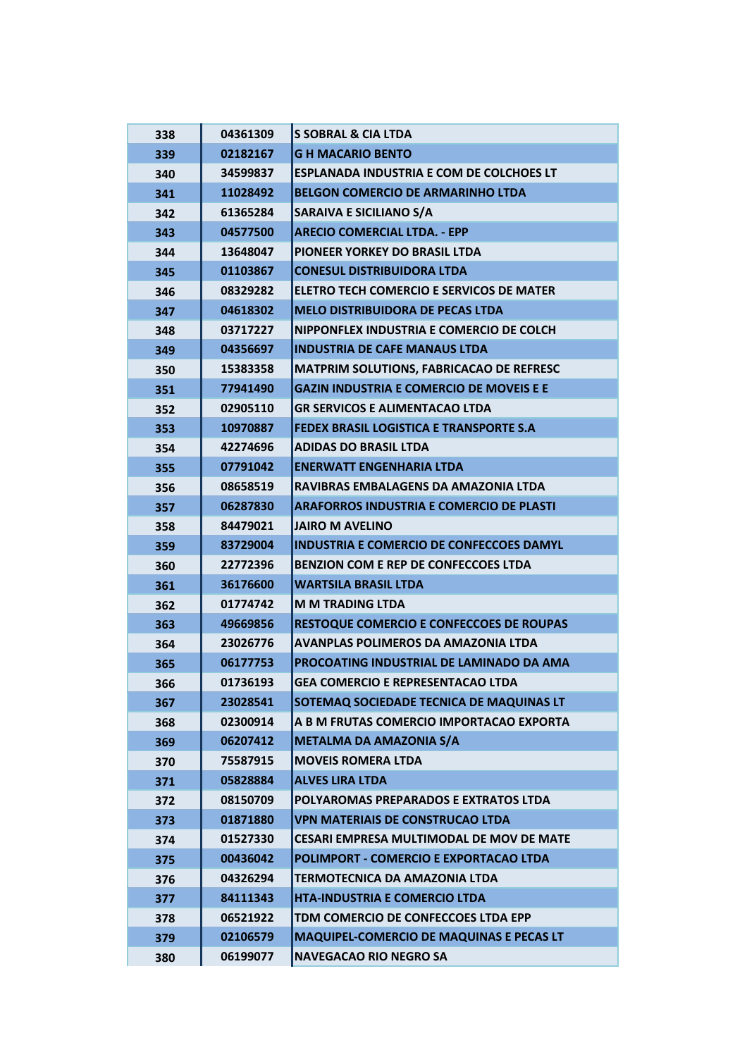| 338 | 04361309 | <b>S SOBRAL &amp; CIA LTDA</b>                  |
|-----|----------|-------------------------------------------------|
| 339 | 02182167 | <b>GH MACARIO BENTO</b>                         |
| 340 | 34599837 | <b>ESPLANADA INDUSTRIA E COM DE COLCHOES LT</b> |
| 341 | 11028492 | <b>BELGON COMERCIO DE ARMARINHO LTDA</b>        |
| 342 | 61365284 | <b>SARAIVA E SICILIANO S/A</b>                  |
| 343 | 04577500 | <b>ARECIO COMERCIAL LTDA. - EPP</b>             |
| 344 | 13648047 | PIONEER YORKEY DO BRASIL LTDA                   |
| 345 | 01103867 | <b>CONESUL DISTRIBUIDORA LTDA</b>               |
| 346 | 08329282 | ELETRO TECH COMERCIO E SERVICOS DE MATER        |
| 347 | 04618302 | <b>MELO DISTRIBUIDORA DE PECAS LTDA</b>         |
| 348 | 03717227 | NIPPONFLEX INDUSTRIA E COMERCIO DE COLCH        |
| 349 | 04356697 | <b>INDUSTRIA DE CAFE MANAUS LTDA</b>            |
| 350 | 15383358 | <b>MATPRIM SOLUTIONS, FABRICACAO DE REFRESC</b> |
| 351 | 77941490 | <b>GAZIN INDUSTRIA E COMERCIO DE MOVEIS E E</b> |
| 352 | 02905110 | <b>GR SERVICOS E ALIMENTACAO LTDA</b>           |
| 353 | 10970887 | <b>FEDEX BRASIL LOGISTICA E TRANSPORTE S.A</b>  |
| 354 | 42274696 | <b>ADIDAS DO BRASIL LTDA</b>                    |
| 355 | 07791042 | <b>ENERWATT ENGENHARIA LTDA</b>                 |
| 356 | 08658519 | RAVIBRAS EMBALAGENS DA AMAZONIA LTDA            |
| 357 | 06287830 | <b>ARAFORROS INDUSTRIA E COMERCIO DE PLASTI</b> |
| 358 | 84479021 | <b>JAIRO M AVELINO</b>                          |
| 359 | 83729004 | <b>INDUSTRIA E COMERCIO DE CONFECCOES DAMYL</b> |
| 360 | 22772396 | <b>BENZION COM E REP DE CONFECCOES LTDA</b>     |
| 361 | 36176600 | <b>WARTSILA BRASIL LTDA</b>                     |
| 362 | 01774742 | <b>M M TRADING LTDA</b>                         |
| 363 | 49669856 | <b>RESTOQUE COMERCIO E CONFECCOES DE ROUPAS</b> |
| 364 | 23026776 | <b>AVANPLAS POLIMEROS DA AMAZONIA LTDA</b>      |
| 365 | 06177753 | PROCOATING INDUSTRIAL DE LAMINADO DA AMA        |
| 366 | 01736193 | <b>GEA COMERCIO E REPRESENTACAO LTDA</b>        |
| 367 | 23028541 | SOTEMAQ SOCIEDADE TECNICA DE MAQUINAS LT        |
| 368 | 02300914 | A B M FRUTAS COMERCIO IMPORTACAO EXPORTA        |
| 369 | 06207412 | <b>METALMA DA AMAZONIA S/A</b>                  |
| 370 | 75587915 | <b>MOVEIS ROMERA LTDA</b>                       |
| 371 | 05828884 | <b>ALVES LIRA LTDA</b>                          |
| 372 | 08150709 | POLYAROMAS PREPARADOS E EXTRATOS LTDA           |
| 373 | 01871880 | <b>VPN MATERIAIS DE CONSTRUCAO LTDA</b>         |
| 374 | 01527330 | CESARI EMPRESA MULTIMODAL DE MOV DE MATE        |
| 375 | 00436042 | POLIMPORT - COMERCIO E EXPORTACAO LTDA          |
| 376 | 04326294 | TERMOTECNICA DA AMAZONIA LTDA                   |
| 377 | 84111343 | HTA-INDUSTRIA E COMERCIO LTDA                   |
| 378 | 06521922 | TDM COMERCIO DE CONFECCOES LTDA EPP             |
| 379 | 02106579 | MAQUIPEL-COMERCIO DE MAQUINAS E PECAS LT        |
| 380 | 06199077 | <b>NAVEGACAO RIO NEGRO SA</b>                   |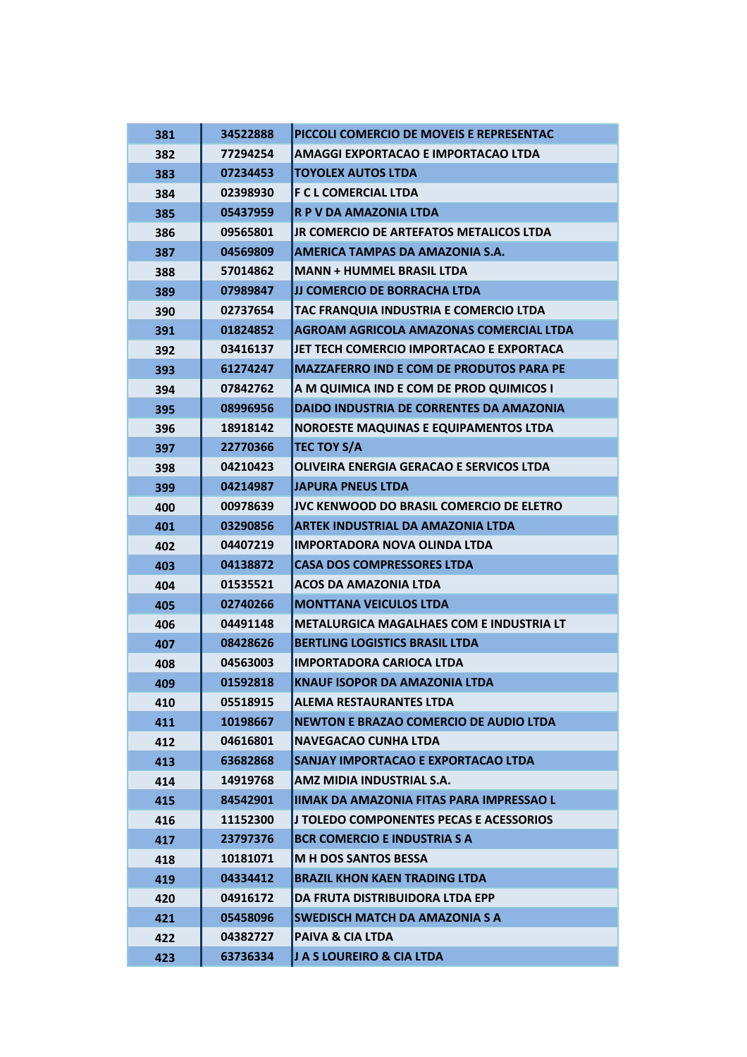| 381 | 34522888 | PICCOLI COMERCIO DE MOVEIS E REPRESENTAC        |
|-----|----------|-------------------------------------------------|
| 382 | 77294254 | <b>AMAGGI EXPORTACAO E IMPORTACAO LTDA</b>      |
| 383 | 07234453 | <b>TOYOLEX AUTOS LTDA</b>                       |
| 384 | 02398930 | <b>F C L COMERCIAL LTDA</b>                     |
| 385 | 05437959 | R P V DA AMAZONIA LTDA                          |
| 386 | 09565801 | JR COMERCIO DE ARTEFATOS METALICOS LTDA         |
| 387 | 04569809 | AMERICA TAMPAS DA AMAZONIA S.A.                 |
| 388 | 57014862 | <b>MANN + HUMMEL BRASIL LTDA</b>                |
| 389 | 07989847 | JJ COMERCIO DE BORRACHA LTDA                    |
| 390 | 02737654 | TAC FRANQUIA INDUSTRIA E COMERCIO LTDA          |
| 391 | 01824852 | AGROAM AGRICOLA AMAZONAS COMERCIAL LTDA         |
| 392 | 03416137 | JET TECH COMERCIO IMPORTACAO E EXPORTACA        |
| 393 | 61274247 | <b>MAZZAFERRO IND E COM DE PRODUTOS PARA PE</b> |
| 394 | 07842762 | A M QUIMICA IND E COM DE PROD QUIMICOS I        |
| 395 | 08996956 | DAIDO INDUSTRIA DE CORRENTES DA AMAZONIA        |
| 396 | 18918142 | NOROESTE MAQUINAS E EQUIPAMENTOS LTDA           |
| 397 | 22770366 | <b>TEC TOY S/A</b>                              |
| 398 | 04210423 | OLIVEIRA ENERGIA GERACAO E SERVICOS LTDA        |
| 399 | 04214987 | <b>JAPURA PNEUS LTDA</b>                        |
| 400 | 00978639 | <b>JVC KENWOOD DO BRASIL COMERCIO DE ELETRO</b> |
| 401 | 03290856 | <b>ARTEK INDUSTRIAL DA AMAZONIA LTDA</b>        |
| 402 | 04407219 | <b>IMPORTADORA NOVA OLINDA LTDA</b>             |
| 403 | 04138872 | <b>CASA DOS COMPRESSORES LTDA</b>               |
| 404 | 01535521 | <b>ACOS DA AMAZONIA LTDA</b>                    |
| 405 | 02740266 | <b>MONTTANA VEICULOS LTDA</b>                   |
| 406 | 04491148 | <b>METALURGICA MAGALHAES COM E INDUSTRIA LT</b> |
| 407 | 08428626 | <b>BERTLING LOGISTICS BRASIL LTDA</b>           |
| 408 | 04563003 | <b>IMPORTADORA CARIOCA LTDA</b>                 |
| 409 | 01592818 | <b>KNAUF ISOPOR DA AMAZONIA LTDA</b>            |
| 410 | 05518915 | ALEMA RESTAURANTES LTDA                         |
| 411 | 10198667 | <b>NEWTON E BRAZAO COMERCIO DE AUDIO LTDA</b>   |
| 412 | 04616801 | <b>NAVEGACAO CUNHA LTDA</b>                     |
| 413 | 63682868 | SANJAY IMPORTACAO E EXPORTACAO LTDA             |
| 414 | 14919768 | AMZ MIDIA INDUSTRIAL S.A.                       |
| 415 | 84542901 | <b>IIMAK DA AMAZONIA FITAS PARA IMPRESSAO L</b> |
| 416 | 11152300 | IJ TOLEDO COMPONENTES PECAS E ACESSORIOS I      |
| 417 | 23797376 | <b>BCR COMERCIO E INDUSTRIA S A</b>             |
| 418 | 10181071 | <b>M H DOS SANTOS BESSA</b>                     |
| 419 | 04334412 | <b>BRAZIL KHON KAEN TRADING LTDA</b>            |
| 420 | 04916172 | DA FRUTA DISTRIBUIDORA LTDA EPP                 |
| 421 | 05458096 | <b>SWEDISCH MATCH DA AMAZONIA S A</b>           |
| 422 | 04382727 | <b>PAIVA &amp; CIA LTDA</b>                     |
| 423 | 63736334 | J A S LOUREIRO & CIA LTDA                       |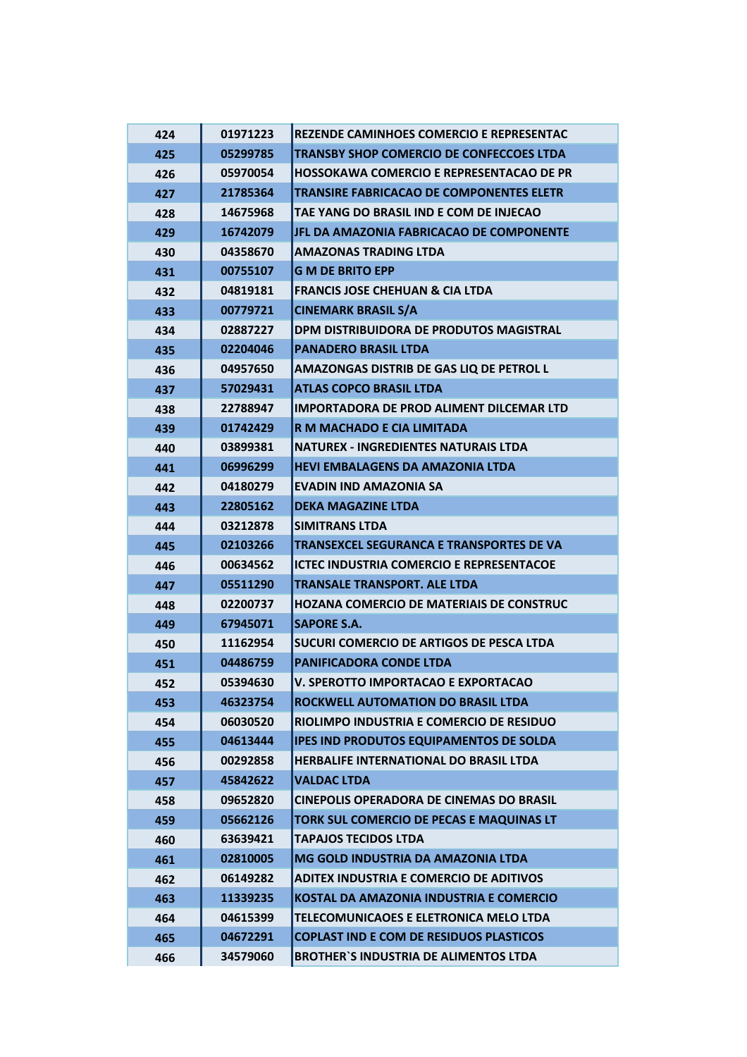| 424 | 01971223 | <b>REZENDE CAMINHOES COMERCIO E REPRESENTAC</b> |
|-----|----------|-------------------------------------------------|
| 425 | 05299785 | <b>TRANSBY SHOP COMERCIO DE CONFECCOES LTDA</b> |
| 426 | 05970054 | <b>HOSSOKAWA COMERCIO E REPRESENTACAO DE PR</b> |
| 427 | 21785364 | <b>TRANSIRE FABRICACAO DE COMPONENTES ELETR</b> |
| 428 | 14675968 | TAE YANG DO BRASIL IND E COM DE INJECAO         |
| 429 | 16742079 | JFL DA AMAZONIA FABRICACAO DE COMPONENTE        |
| 430 | 04358670 | <b>AMAZONAS TRADING LTDA</b>                    |
| 431 | 00755107 | <b>G M DE BRITO EPP</b>                         |
| 432 | 04819181 | <b>FRANCIS JOSE CHEHUAN &amp; CIA LTDA</b>      |
| 433 | 00779721 | <b>CINEMARK BRASIL S/A</b>                      |
| 434 | 02887227 | DPM DISTRIBUIDORA DE PRODUTOS MAGISTRAL         |
| 435 | 02204046 | <b>PANADERO BRASIL LTDA</b>                     |
| 436 | 04957650 | AMAZONGAS DISTRIB DE GAS LIQ DE PETROL L        |
| 437 | 57029431 | <b>ATLAS COPCO BRASIL LTDA</b>                  |
| 438 | 22788947 | <b>IMPORTADORA DE PROD ALIMENT DILCEMAR LTD</b> |
| 439 | 01742429 | R M MACHADO E CIA LIMITADA                      |
| 440 | 03899381 | <b>NATUREX - INGREDIENTES NATURAIS LTDA</b>     |
| 441 | 06996299 | <b>HEVI EMBALAGENS DA AMAZONIA LTDA</b>         |
| 442 | 04180279 | <b>EVADIN IND AMAZONIA SA</b>                   |
| 443 | 22805162 | <b>DEKA MAGAZINE LTDA</b>                       |
| 444 | 03212878 | <b>SIMITRANS LTDA</b>                           |
| 445 | 02103266 | <b>TRANSEXCEL SEGURANCA E TRANSPORTES DE VA</b> |
| 446 | 00634562 | <b>ICTEC INDUSTRIA COMERCIO E REPRESENTACOE</b> |
| 447 | 05511290 | <b>TRANSALE TRANSPORT. ALE LTDA</b>             |
| 448 | 02200737 | <b>HOZANA COMERCIO DE MATERIAIS DE CONSTRUC</b> |
| 449 | 67945071 | <b>SAPORE S.A.</b>                              |
| 450 | 11162954 | SUCURI COMERCIO DE ARTIGOS DE PESCA LTDA        |
| 451 | 04486759 | <b>PANIFICADORA CONDE LTDA</b>                  |
| 452 | 05394630 | V. SPEROTTO IMPORTACAO E EXPORTACAO             |
| 453 | 46323754 | ROCKWELL AUTOMATION DO BRASIL LTDA              |
| 454 | 06030520 | RIOLIMPO INDUSTRIA E COMERCIO DE RESIDUO        |
| 455 | 04613444 | <b>IPES IND PRODUTOS EQUIPAMENTOS DE SOLDA</b>  |
| 456 | 00292858 | <b>HERBALIFE INTERNATIONAL DO BRASIL LTDA</b>   |
| 457 | 45842622 | <b>VALDAC LTDA</b>                              |
| 458 | 09652820 | <b>CINEPOLIS OPERADORA DE CINEMAS DO BRASIL</b> |
| 459 | 05662126 | TORK SUL COMERCIO DE PECAS E MAQUINAS LT        |
| 460 | 63639421 | <b>TAPAJOS TECIDOS LTDA</b>                     |
| 461 | 02810005 | MG GOLD INDUSTRIA DA AMAZONIA LTDA              |
| 462 | 06149282 | <b>ADITEX INDUSTRIA E COMERCIO DE ADITIVOS</b>  |
| 463 | 11339235 | KOSTAL DA AMAZONIA INDUSTRIA E COMERCIO         |
| 464 | 04615399 | TELECOMUNICAOES E ELETRONICA MELO LTDA          |
| 465 | 04672291 | <b>COPLAST IND E COM DE RESIDUOS PLASTICOS</b>  |
| 466 | 34579060 | <b>BROTHER'S INDUSTRIA DE ALIMENTOS LTDA</b>    |